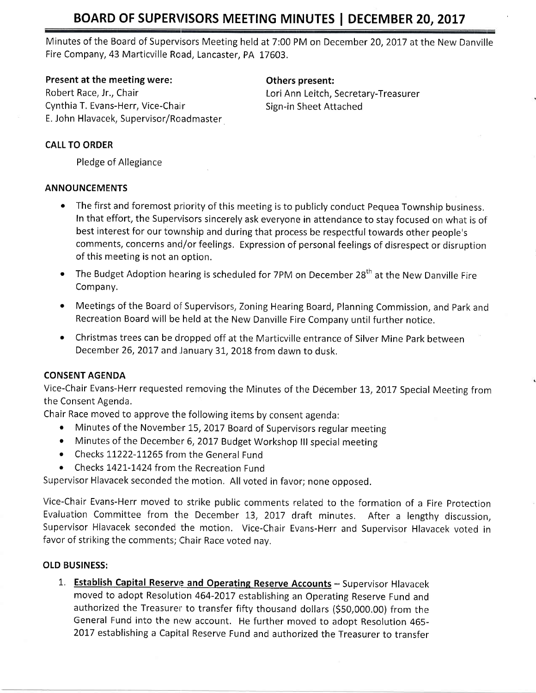Minutes of the Board of Supervisors Meeting held at 7:00 PM on December 20, 2017 at the New Danville Fire Company,43 Marticville Road, Lancaster, PA 17603.

## Present at the meeting were: The meeting others present:

Robert Race, Jr., Chair **Lourist Anniversity** Lori Anni Leitch, Secretary-Treasurer Cynthia T. Evans-Herr, Vice-Chair Summann Sign-in Sheet Attached E, John Hlavacek, Supervisor/Roadmaster

## CALL TO ORDER

Pledge of Allegiance

## ANNOUNCEMENTS

- The first and foremost priority of this meeting is to publicly conduct Pequea Township business. In that effort, the Supervisors sincerely ask everyone in attendance to stay focused on what is of best interest for our township and during that process be respectful towards other people's comments, concerns and/or feelings. Expression of personal feelings of disrespect or disruption of this meeting is not an option.
- $\bullet$  The Budget Adoption hearing is scheduled for 7PM on December 28<sup>th</sup> at the New Danville Fire Company.
- o Meetings of the Board of Supervisors, Zoning Hearing Board, Planning Commission, and Park and Recreation Board will be held at the New Danville Fire Company until further notice.
- o Christmas trees can be dropped off at the Marticville entrance of Silver Mine Park between December 26, 2017 and January 31, 2018 from dawn to dusk.

## CONSENT AGENDA

Vice-Chair Evans-Herr requested removing the Minutes of the December 13, 2017 Special Meeting from the Consent Agenda.

Chair Race moved to approve the following items by consent agenda:

- Minutes of the November 15, 2017 Board of Supervisors regular meeting
- Minutes of the December 6, 2017 Budget Workshop III special meeting
- Checks 11222-11265 from the General Fund
- Checks 1421-1424 from the Recreation Fund

Supervisor Hlavacek seconded the motion. All voted in favor; none opposed.

Vice-Chair Evans-Herr moved to strike public comments related to the formation of a Fire protection Evaluation Committee from the December 13, 2017 draft minutes. After a lengthy discussion, Supervisor Hlavacek seconded the motion, Vice-Chair Evans-Herr and Supervisor Hlavacek voted in favor of striking the comments; Chair Race voted nay.

## OLD BUSINESS:

1. Establish Capital Reserve and Operating Reserve Accounts - Supervisor Hlavacek moved to adopt Resolution 464-2017 establishing an Operating Reserve Fund and authorized the Treasurer to transfer fifty thousand dollars (S5O,OOO.O0) from the General Fund into the new account. He further moved to adopt Resolution 465- 2017 establishing a Capital Reserve Fund and authorized the Treasurer to transfer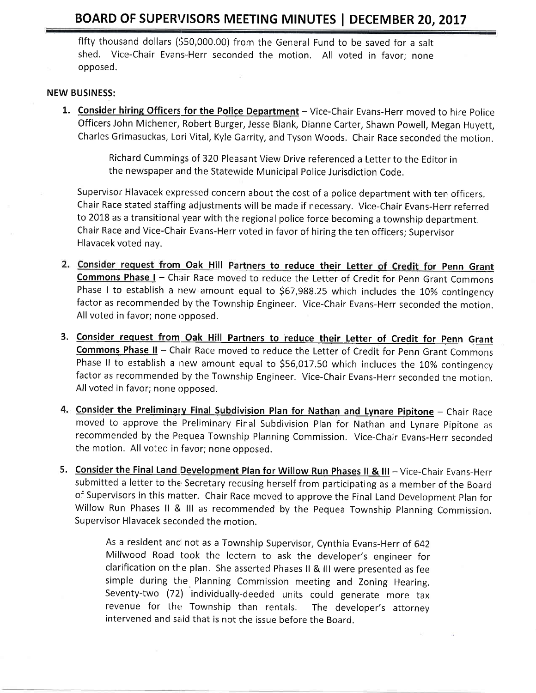fifty thousand dollars (\$50,000.00) from the General Fund to be saved for a salt shed. Vice-Chair Evans-Herr seconded the motion. All voted in favor; none opposed.

#### NEW BUSINESS:

1. Consider hiring Officers for the Police Department - Vice-Chair Evans-Herr moved to hire Police Officers John Michener, Robert Burger, Jesse Blank, Dianne Carter, Shawn Powell, Megan Huyett, Charles Grimasuckas, Lori Vital, Kyle Garrity, and Tyson Woods. Chair Race seconded the motion,

> Richard Cummings of 320 Pleasant View Drive referenced a Letter to the Editor in the newspaper and the Statewide Municipal Police Jurisdiction Code,

Supervisor Hlavacek expressed concern about the cost of a police department with ten officers, Chair Race stated staffing adjustments will be made if necessary. Vice-Chair Evans-Herr referred to 2018 as a transitional year with the regional police force becoming a township department. Chair Race and Vice-Chair Evans-Herr voted in favor of hiring the ten officers; Supervisor Hlavacek voted nav.

- 2. Consider request from Oak Hill Partners to reduce their Letter of Credit for Penn Grant Commons Phase I - Chair Race moved to reduce the Letter of Credit for Penn Grant Commons Phase I to establish a new amount equal to \$67,988.25 which includes the 10% contingency factor as recommended by the Township Engineer. Vice-Chair Evans-Herr seconded the motion. All voted in favor; none opposed.
- 3. Consider request from Oak Hill Partners to reduce their Letter of Credit for Penn Grant Commons Phase II - Chair Race moved to reduce the Letter of Credit for Penn Grant Commons Phase II to establish a new amount equal to \$56,017.50 which includes the 10% contingency factor as recommended by the Township Engineer, Vice-Chair Evans-Herr seconded the motion. All voted in favor; none opposed,
- 4. Consider the Preliminary Final Subdivision Plan for Nathan and Lynare Pipitone Chair Race moved to approve the Preliminary Final Subdivision Plan for Nathan and Lynare pipitone as recommended by the Pequea Township Planning Commission. Vice-Chair Evans-Herr seconded the motion. All voted in favor; none opposed.
- 5. Consider the Final Land Development Plan for Willow Run Phases II & III Vice-Chair Evans-Herr submitted a letter to the Secretary recusing herself from participating as a member of the Board of Supervisors in this matter. Chair Race moved to approve the Final Land Development Plan for Willow Run Phases ll & lll as recommended by the Pequea Township Planning Commission, Supervisor Hlavacek seconded the motion.

As a resident and not as a Township Supervisor, Cynthia Evans-Herr of G42 Millwood Road took the lectern to ask the developer's engineer for clarification on the plan. She asserted Phases ll & lll were presented as fee simple during the Planning Commission meeting and Zoning Hearing. Seventy-two (72) individually-deeded units could generate more tax revenue for the Township than rentals. The developer's attorney intervened and said that is not the issue before the Board.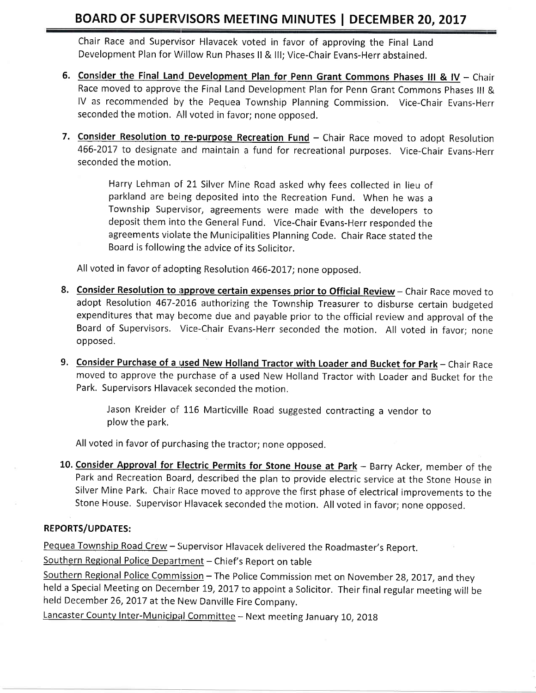Chair Race and Supervisor Hlavacek voted in favor of approving the Final Land Development Plan for Willow Run Phases II & III; Vice-Chair Evans-Herr abstained.

- 6. Consider the Final Land Development Plan for Penn Grant Commons Phases III & IV Chair Race moved to approve the Final Land Development Plan for Penn Grant Commons Phases lll & IV as recommended by the Pequea Township Planning Commission. Vice-Chair Evans-Herr seconded the motion. hll voted in favor; none opposed.
- 7. Consider Resolution to re-purpose Recreation Fund Chair Race moved to adopt Resolution 466-2017 to designate and maintain a fund for recreational purposes. Vice-Chair Evans-Herr seconded the motion.

Harry Lehman of 21 Silver Mine Road asked why fees collected in lieu of parkland are being deposited into the Recreation Fund. When he was <sup>a</sup> Township Supervisor, agreements were made with the developers to deposit them into the General Fund. Vice-Chair Evans-Herr responded the agreements violate the Municipalities Planning Code. Chair Race stated the Board is following the advice of its Solicitor.

All voted in favor of adopting Resolution 466-2017; none opposed.

- 8. Consider Resolution to approve certain expenses prior to Official Review Chair Race moved to adopt Resolution 467-2016 authorizing the Township Treasurer to disburse certain budgeted expenditures that may become due and payable prior to the official review and approval of the Board of Supervisors. Vice-Chair Evans-Herr seconded the motion, All voted in favor; none opposed.
- 9. Consider Purchase of a used New Holland Tractor with Loader and Bucket for Park Chair Race moved to approve the purchase of a used New Holland Tractor with Loader and Bucket for the Park. Supervisors Hlavacek seconded the motion.

Jason Kreider of 116 Marticville Road suggested contracting a vendor to plow the park.

All voted in favor of purchasing the tractor; none opposed.

10. Consider Approval for Electric Permits for Stone House at Park - Barry Acker, member of the Park and Recreation Board, described the plan to provide electric service at the Stone House in Silver Mine Park. Chair Race moved to approve the first phase of electrical improvements to the Stone House. Supervisor Hlavacek seconded the motion. All voted in favor; none opposed.

# REPORTS/UPDATES:

Pequea Township Road Crew - Supervisor Hlavacek delivered the Roadmaster's Report.

Southern Regional Police Department - Chief's Report on table

Southern Regional Police Commission - The Police Commission met on November 28, 2017, and they held a Special Meeting on December 19, 2017 to appoint a Solicitor. Their final regular meeting will be held December 26, 2017 at the New Danville Fire Company.

Lancaster County Inter-Municipal Committee - Next meeting January 10, 2018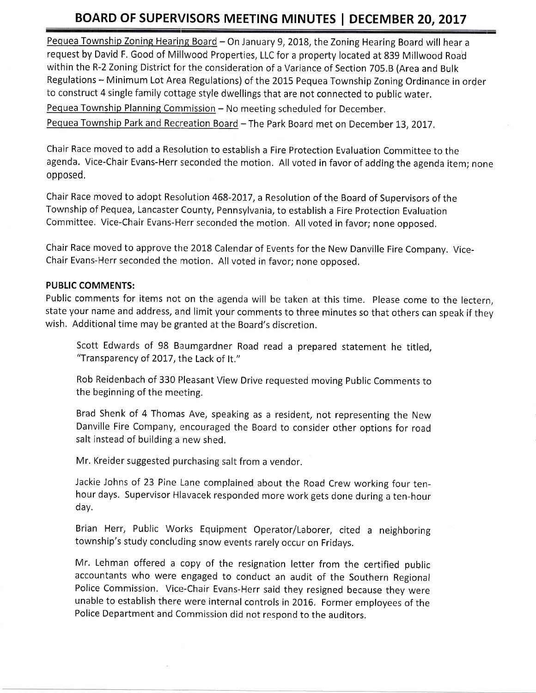Pequea Township Zoning Hearing Board - On January 9, 2018, the Zoning Hearing Board will hear a request by David F. Good of Millwood Properties, LLC for a property located at 839 Millwood Road within the R-2 Zoning District for the consideration of a Variance of Section 705.8 (Area and Bulk Regulations - Minimum Lot Area Regulations) of the 2015 Pequea Township Zoning Ordinance in order to construct 4 single family cottage style dwellings that are not connected to public water. Pequea Township Planning Commission - No meeting scheduled for December.

Pequea Township Park and Recreation Board - The Park Board met on December 13, 2017.

Chair Race moved to add a Resolution to establish a Fire Protection Evaluation Committee to the agenda. Vice-Chair Evans-Herr seconded the motion. All voted in favor of adding the agenda item; none opposed,

Chair Race moved to adopt Resolution 468-2017, a Resolution of the Board of Supervisors of the Township of Pequea, Lancaster County, Pennsylvania, to establish a Fire Protection Evaluation Committee. Vice-Chair Evans-Herr seconded the motion, All voted in favor; none opposed,

Chair Race moved to approve the 2018 Calendar of Events for the New Danville Fire Company. Vicechair Evans-Herr seconded the motion. All voted in favor; none opposed.

#### PUBLIC COMMENTS:

Public comments for items not on the agenda will be taken at this time. Please come to the lectern, state your name and address, and limit your comments to three minutes so that others can speak if they wish. Additional time may be granted at the Board's discretion.

Scott Edwards of 98 Baumgardner Road read a prepared statement he titled, "Transparency of 2017, the Lack of It."

Rob Reidenbach of 330 Pleasant View Drive requested moving Public Comments to the beginning of the meeting.

Brad Shenk of 4 Thomas Ave, speaking as a resident, not representing the New Danville Fire Company, encouraged the Board to consider other options for road salt instead of building a new shed.

Mr. Kreider suggested purchasing salt from a vendor.

Jackie Johns of 23 Pine Lane complained about the Road Crew working four tenhour days. Supervisor Hlavacek responded more work gets done during a ten-hour day.

Brian Herr, Public Works Equipment Operator/Laborer, cited a neighboring township's study concluding snow events rarely occur on Fridays.

Mr. Lehman offered a copy of the resignation letter from the certified public accountants who were engaged to conduct an audit of the Southern Regional Police Commission. Vice-Chair Evans-Herr said they resigned because they were unable to establish there were internal controls in 2016. Former employees of the Police Department and Commission did not respond to the auditors.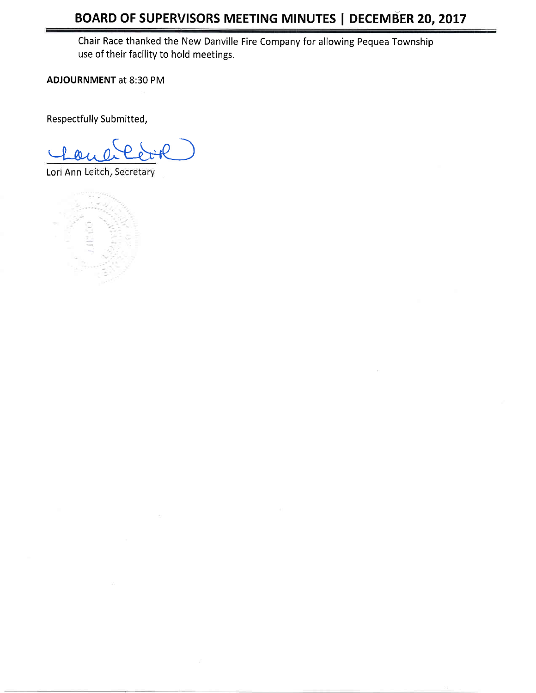Chair Race thanked the New Danville Fire Company for allowing Pequea Township use of their facility to hold meetings.

**ADJOURNMENT at 8:30 PM** 

Respectfully Submitted,

Lori Ann Leitch, Secretary

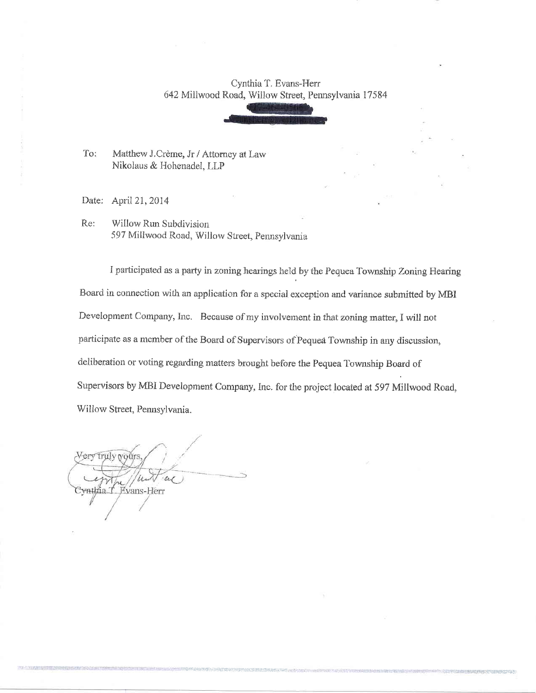#### Cynthia T. Evans-Herr 642 Millwood Road, Willow Street, Pennsylvania 17584

To: Matthew J.Crème, Jr / Attorney at Law Nikolaus & Hohenadel, LLP

Date: April 21, 2014

Re: Willow Run Subdivision 597 Millwood Road, Willow Street, Pennsylvania

I participated as a party in zoning hearings held by the Pequea Township Zoning Hearing Board in connection with an application for a special exception and variance submitted by MBI Development Company, Inc. Because of my involvement in that zoning matter, I will not participate as a member of the Board of Supervisors of Pequea Township in any discussion, deliberation or voting regarding matters brought before the Pequea Township Board of Supervisors by MBI Development Company, Inc. for the project located at 597 Millwood Road, Willow Street, Pennsylvania.

Very truly wou  $\mu$ ⁄mth⁄ia T Evans-Herr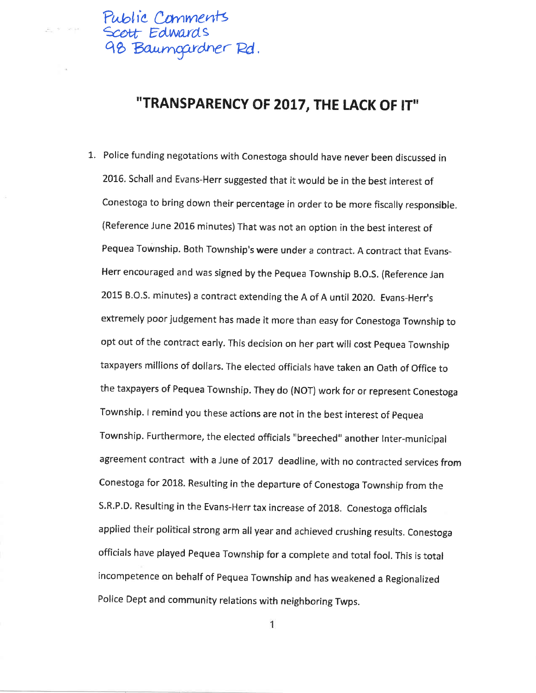

 $9' = 98.35$ 

# "TRANSPARENCY OF 2017, THE LACK OF IT"

1. Police funding negotations with Conestoga should have never been discussed in 2016. Schall and Evans-Herr suggested that it would be in the best interest of Conestoga to bring down their percentage in order to be more fiscally responsible. (Reference June 2016 minutes) That was not an option in the best interest of Fequea Townshlp. Both Township's were under a contract. A contract that Evans-Herr encouraged and was signed by the pequea Township B.o.s, (Reference Jan 2015 B.O.S. minutes) a contract extending the A of A until 2020. Evans-Herr's extremely poor judgement has made it more than easy for Conestoga Township to opt out of the contract early. This decision on her part will cost Pequea Township taxpayers millions of dollars. The elected officials have taken an Oath of Office to the taxpayers of Pequea Township. They do (NOT) work for or represent Conestoga Township. I remind you these actions are not in the best interest of pequea Township. Furthermore, the elected officials "breeched" another Inter-municipaI agreement contract with a June of 2017 deadline, with no contracted services from Conestoga for 2018. Resulting in the departure of Conestoga Township from the S.R.P.D. Resulting in the Evans-Herr tax increase of 2018. Conestoga officials applied their political strong arm all year and achieved crushing results. conestoga officials have played Pequea Township for a complete and total fool. This is total incompetence on behalf of Pequea Township and has weakened a Regionalized Police Dept and community relations with neighboring Twps.

1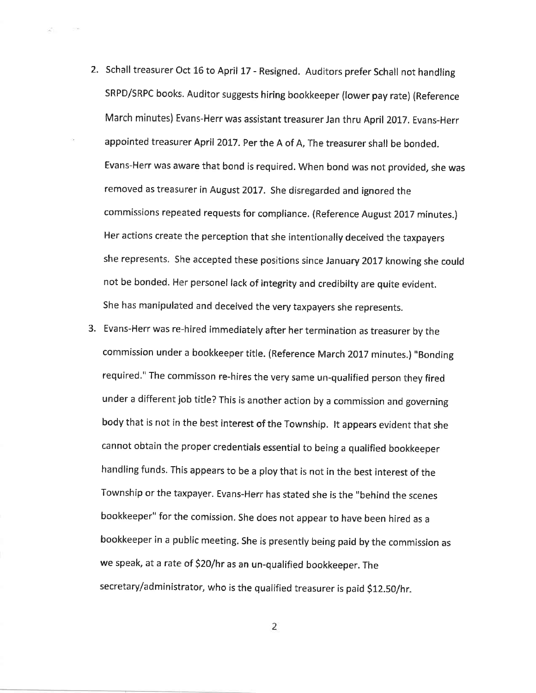2. Schall treasurer Oct 16 to April 17 - Resigned. Auditors prefer Schall not handling SRPD/SRPC books. Auditor suggests hiring bookkeeper (lower pay rate) (Reference March minutes) Evans-Herr was assistant treasurer Jan thru April 2017. Evans-Herr appointed treasurer April 2017. Per the A of A, The treasurer shall be bonded. Evans-Herr was aware that bond is required. When bond was not provided, she was removed as treasurer in August 2017. She disregarded and ignored the commissions repeated requests for compliance. (Reference August 2017 minutes.) Her actions create the perception that she intentionally deceived the taxpayers she represents. She accepted these positions since January 2017 knowing she could not be bonded. Her personel lack of lntegrity and credibilty are quite evident. She has manipulated and deceived the very taxpayers she represents.

 $-1.40$ 

S.

3. Evans-Herr was re-hired immediately after her termination as treasurer by the commission under a bookkeeper title. (Reference March 2017 minutes.) "Bonding required." The cornrnisson re-hires the very same un-qualified person they fired under a different job title? This is another action by a commission and governing body that is not in the best interest of the Township. lt appears evident that she cannot obtain the proper credentials essential to being a qualified bookkeeper handling funds. This appears to be a ploy that is not in the best interest of the Township or the taxpayer. Evans-Herr has stated she is the "behind the scenes bookkeeper" for the comission. She does not appear to have been hired as a bookkeeper in a public meeting. She is presently being paid by the commission as we speak, at a rate of S20/hr as an un-qualified bookkeeper. The secretary/administrator, who is the qualified treasurer is paid \$12.50/hr.

 $\overline{2}$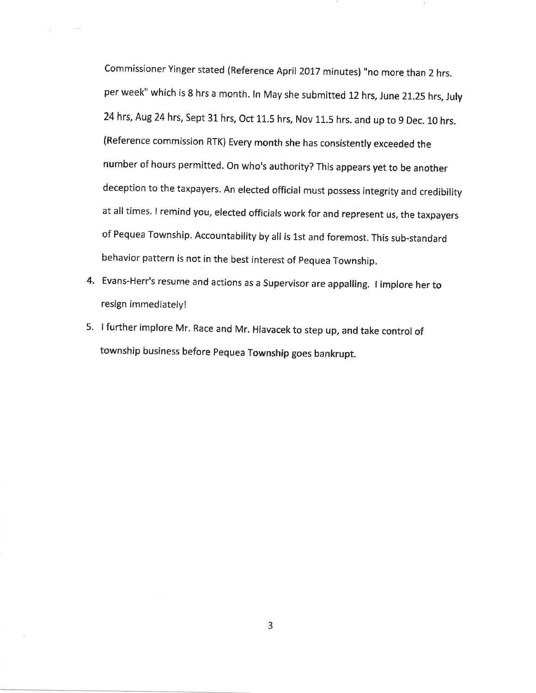Commissioner Yinger stated (Reference April2017 minutes) "no more than 2 hrs. per week" which is 8 hrs a month. In May she submitted 12 hrs, June 21.25 hrs, July 24 hrs, Aug 24 hrs, Sept 31 hrs, Oct 11.5 hrs, Nov 11.5 hrs. and up to 9 Dec. 10 hrs. (Reference commission RTK) Every month she has consistently exceeded the number of hours permitted. On who's authority? This appears yet to be another deception to the taxpayers. An elected official must possess integrity and credibility at all times. I remind you, elected officials work for and represent us, the taxpayers of Pequea Township. Accountability by all is 1st and foremost. This sub-standard behavior pattern is not in the best interest of pequea Township.

- 4. Evans-Herr's resume and actions as a Supervisor are appalling. I implore her to resign immediately!
- 5. <sup>I</sup>further implore Mr. Race and Mr. Hlavacek to step up, and take control of township business before pequea Township goes bankrupt.